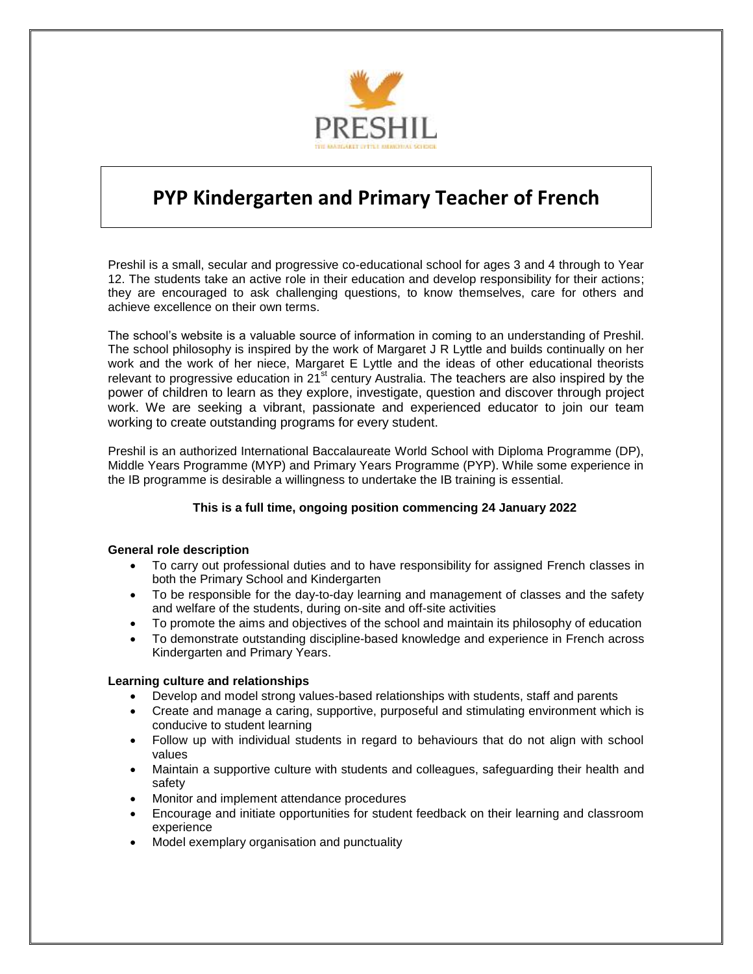

# **PYP Kindergarten and Primary Teacher of French**

Preshil is a small, secular and progressive co-educational school for ages 3 and 4 through to Year 12. The students take an active role in their education and develop responsibility for their actions; they are encouraged to ask challenging questions, to know themselves, care for others and achieve excellence on their own terms.

The school's website is a valuable source of information in coming to an understanding of Preshil. The school philosophy is inspired by the work of Margaret J R Lyttle and builds continually on her work and the work of her niece, Margaret E Lyttle and the ideas of other educational theorists relevant to progressive education in 21 $^{\text{st}}$  century Australia. The teachers are also inspired by the power of children to learn as they explore, investigate, question and discover through project work. We are seeking a vibrant, passionate and experienced educator to join our team working to create outstanding programs for every student.

Preshil is an authorized International Baccalaureate World School with Diploma Programme (DP), Middle Years Programme (MYP) and Primary Years Programme (PYP). While some experience in the IB programme is desirable a willingness to undertake the IB training is essential.

# **This is a full time, ongoing position commencing 24 January 2022**

#### **General role description**

- To carry out professional duties and to have responsibility for assigned French classes in both the Primary School and Kindergarten
- To be responsible for the day-to-day learning and management of classes and the safety and welfare of the students, during on-site and off-site activities
- To promote the aims and objectives of the school and maintain its philosophy of education
- To demonstrate outstanding discipline-based knowledge and experience in French across Kindergarten and Primary Years.

# **Learning culture and relationships**

- Develop and model strong values-based relationships with students, staff and parents
- Create and manage a caring, supportive, purposeful and stimulating environment which is conducive to student learning
- Follow up with individual students in regard to behaviours that do not align with school values
- Maintain a supportive culture with students and colleagues, safeguarding their health and safety
- Monitor and implement attendance procedures
- Encourage and initiate opportunities for student feedback on their learning and classroom experience
- Model exemplary organisation and punctuality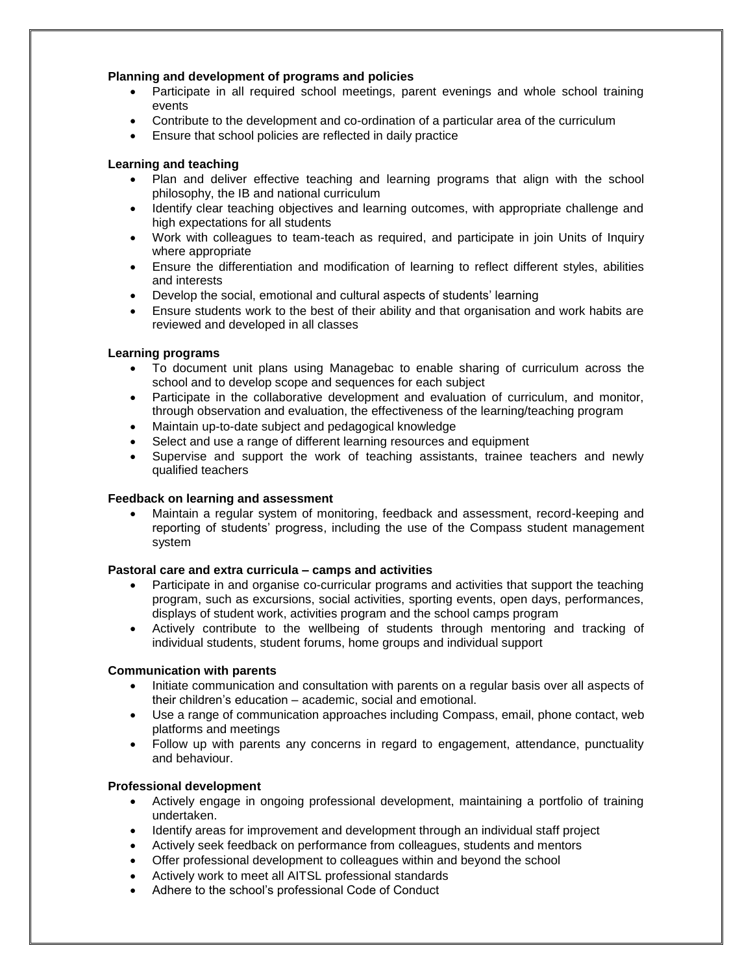## **Planning and development of programs and policies**

- Participate in all required school meetings, parent evenings and whole school training events
- Contribute to the development and co-ordination of a particular area of the curriculum
- Ensure that school policies are reflected in daily practice

## **Learning and teaching**

- Plan and deliver effective teaching and learning programs that align with the school philosophy, the IB and national curriculum
- Identify clear teaching objectives and learning outcomes, with appropriate challenge and high expectations for all students
- Work with colleagues to team-teach as required, and participate in join Units of Inquiry where appropriate
- Ensure the differentiation and modification of learning to reflect different styles, abilities and interests
- Develop the social, emotional and cultural aspects of students' learning
- Ensure students work to the best of their ability and that organisation and work habits are reviewed and developed in all classes

## **Learning programs**

- To document unit plans using Managebac to enable sharing of curriculum across the school and to develop scope and sequences for each subject
- Participate in the collaborative development and evaluation of curriculum, and monitor, through observation and evaluation, the effectiveness of the learning/teaching program
- Maintain up-to-date subject and pedagogical knowledge
- Select and use a range of different learning resources and equipment
- Supervise and support the work of teaching assistants, trainee teachers and newly qualified teachers

#### **Feedback on learning and assessment**

 Maintain a regular system of monitoring, feedback and assessment, record-keeping and reporting of students' progress, including the use of the Compass student management system

#### **Pastoral care and extra curricula – camps and activities**

- Participate in and organise co-curricular programs and activities that support the teaching program, such as excursions, social activities, sporting events, open days, performances, displays of student work, activities program and the school camps program
- Actively contribute to the wellbeing of students through mentoring and tracking of individual students, student forums, home groups and individual support

#### **Communication with parents**

- Initiate communication and consultation with parents on a regular basis over all aspects of their children's education – academic, social and emotional.
- Use a range of communication approaches including Compass, email, phone contact, web platforms and meetings
- Follow up with parents any concerns in regard to engagement, attendance, punctuality and behaviour.

#### **Professional development**

- Actively engage in ongoing professional development, maintaining a portfolio of training undertaken.
- Identify areas for improvement and development through an individual staff project
- Actively seek feedback on performance from colleagues, students and mentors
- Offer professional development to colleagues within and beyond the school
- Actively work to meet all AITSL professional standards
- Adhere to the school's professional Code of Conduct